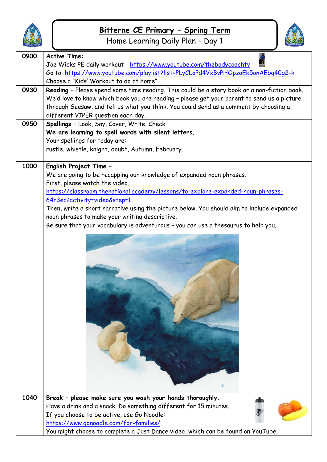

Home Learning Daily Plan – Day 1



| 0900 | <b>Active Time:</b>                                                                                                                                                                                                                                                                                     |
|------|---------------------------------------------------------------------------------------------------------------------------------------------------------------------------------------------------------------------------------------------------------------------------------------------------------|
|      | Joe Wicks PE daily workout - https://www.youtube.com/thebodycoachtv                                                                                                                                                                                                                                     |
|      | Go to: https://www.youtube.com/playlist?list=PLyCLoPd4VxBvPHOpzoEk5onAEbq40q2-k                                                                                                                                                                                                                         |
| 0930 | Choose a "Kids' Workout to do at home".                                                                                                                                                                                                                                                                 |
|      | Reading - Please spend some time reading. This could be a story book or a non-fiction book.<br>We'd love to know which book you are reading - please get your parent to send us a picture                                                                                                               |
|      | through Seesaw, and tell us what you think. You could send us a comment by choosing a                                                                                                                                                                                                                   |
|      | different VIPER question each day.                                                                                                                                                                                                                                                                      |
| 0950 | Spellings - Look, Say, Cover, Write, Check                                                                                                                                                                                                                                                              |
|      | We are learning to spell words with silent letters.                                                                                                                                                                                                                                                     |
|      | Your spellings for today are:                                                                                                                                                                                                                                                                           |
|      | rustle, whistle, knight, doubt, Autumn, February.                                                                                                                                                                                                                                                       |
|      |                                                                                                                                                                                                                                                                                                         |
| 1000 | English Project Time -                                                                                                                                                                                                                                                                                  |
|      | We are going to be recapping our knowledge of expanded noun phrases.                                                                                                                                                                                                                                    |
|      | First, please watch the video.                                                                                                                                                                                                                                                                          |
|      | https://classroom.thenational.academy/lessons/to-explore-expanded-noun-phrases-                                                                                                                                                                                                                         |
|      | 64r3ec?activity=video&step=1                                                                                                                                                                                                                                                                            |
|      | Then, write a short narrative using the picture below. You should aim to include expanded                                                                                                                                                                                                               |
|      | noun phrases to make your writing descriptive.                                                                                                                                                                                                                                                          |
|      | Be sure that your vocabulary is adventurous - you can use a thesaurus to help you.                                                                                                                                                                                                                      |
|      |                                                                                                                                                                                                                                                                                                         |
| 1040 | Break - please make sure you wash your hands thoroughly.<br>Have a drink and a snack. Do something different for 15 minutes.<br>If you choose to be active, use Go Noodle:<br>https://www.gonoodle.com/for-families/<br>You might choose to complete a Just Dance video, which can be found on YouTube. |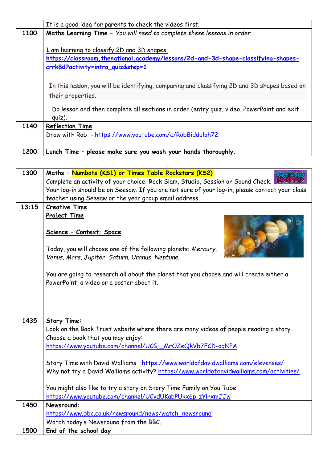|      | It is a good idea for parents to check the videos first.                                                                         |
|------|----------------------------------------------------------------------------------------------------------------------------------|
| 1100 | Maths Learning Time - You will need to complete these lessons in order.                                                          |
|      | I am learning to classify 2D and 3D shapes.<br>https://classroom.thenational.academy/lessons/2d-and-3d-shape-classifying-shapes- |
|      | <u>crrk8d?activity=intro_quiz&amp;step=1</u>                                                                                     |
|      | In this lesson, you will be identifying, comparing and classifying 2D and 3D shapes based on                                     |
|      | their properties.                                                                                                                |
|      | Do lesson and then complete all sections in order (entry quiz, video, PowerPoint and exit<br>quiz).                              |
| 1140 | <b>Reflection Time</b>                                                                                                           |
|      | Draw with Rob - https://www.youtube.com/c/RobBiddulph72                                                                          |
| 1200 | Lunch Time - please make sure you wash your hands thoroughly.                                                                    |

| 1300  | Maths - Numbots (KS1) or Times Table Rockstars (KS2)                                                                                                                       |
|-------|----------------------------------------------------------------------------------------------------------------------------------------------------------------------------|
|       | Complete an activity of your choice: Rock Slam, Studio, Session or Sound Check.                                                                                            |
|       | Your log-in should be on Seesaw. If you are not sure of your log-in, please contact your class                                                                             |
|       | teacher using Seesaw or the year group email address.                                                                                                                      |
| 13:15 | <b>Creative Time</b>                                                                                                                                                       |
|       | Project Time                                                                                                                                                               |
|       | Science - Context: Space                                                                                                                                                   |
|       | Today, you will choose one of the following planets: Mercury,<br>Venus, Mars, Jupiter, Saturn, Uranus, Neptune.                                                            |
|       | You are going to research all about the planet that you choose and will create either a<br>PowerPoint, a video or a poster about it.                                       |
|       |                                                                                                                                                                            |
| 1435  | <b>Story Time:</b><br>Look on the Book Trust website where there are many videos of people reading a story.<br>Choose a book that you may enjoy:                           |
|       | https://www.youtube.com/channel/UCGj_MrOZeQkVb7FCD-ogNPA                                                                                                                   |
|       | Story Time with David Walliams: https://www.worldofdavidwalliams.com/elevenses/<br>Why not try a David Walliams activity? https://www.worldofdavidwalliams.com/activities/ |
|       | You might also like to try a story on Story Time Family on You Tube:                                                                                                       |
|       | https://www.youtube.com/channel/UCvdUKabPUkx6p-zYlrxmJJw                                                                                                                   |
| 1450  | Newsround:                                                                                                                                                                 |
|       | https://www.bbc.co.uk/newsround/news/watch_newsround                                                                                                                       |
|       | Watch today's Newsround from the BBC.                                                                                                                                      |
| 1500  | End of the school day                                                                                                                                                      |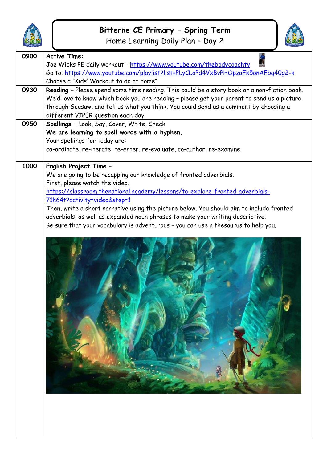

Home Learning Daily Plan – Day 2



| 0900 | <b>Active Time:</b><br>Joe Wicks PE daily workout - https://www.youtube.com/thebodycoachtv<br>Go to: https://www.youtube.com/playlist?list=PLyCLoPd4VxBvPHOpzoEk5onAEbq40q2-k<br>Choose a "Kids' Workout to do at home".                                                                                                                                                                                                                                                                                          |
|------|-------------------------------------------------------------------------------------------------------------------------------------------------------------------------------------------------------------------------------------------------------------------------------------------------------------------------------------------------------------------------------------------------------------------------------------------------------------------------------------------------------------------|
| 0930 | Reading - Please spend some time reading. This could be a story book or a non-fiction book.<br>We'd love to know which book you are reading - please get your parent to send us a picture<br>through Seesaw, and tell us what you think. You could send us a comment by choosing a<br>different VIPER question each day.                                                                                                                                                                                          |
| 0950 | Spellings - Look, Say, Cover, Write, Check<br>We are learning to spell words with a hyphen.<br>Your spellings for today are:<br>co-ordinate, re-iterate, re-enter, re-evaluate, co-author, re-examine.                                                                                                                                                                                                                                                                                                            |
| 1000 | English Project Time -<br>We are going to be recapping our knowledge of fronted adverbials.<br>First, please watch the video.<br>https://classroom.thenational.academy/lessons/to-explore-fronted-adverbials-<br>71h64t?activity=video&step=1<br>Then, write a short narrative using the picture below. You should aim to include fronted<br>adverbials, as well as expanded noun phrases to make your writing descriptive.<br>Be sure that your vocabulary is adventurous - you can use a thesaurus to help you. |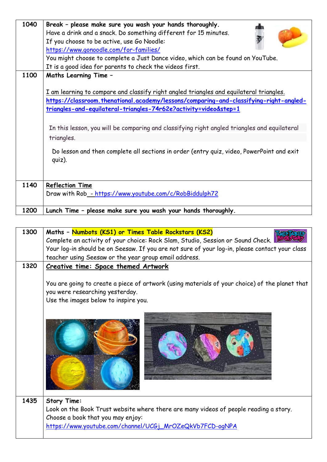| 1040 |                                                                                              |
|------|----------------------------------------------------------------------------------------------|
|      | Break - please make sure you wash your hands thoroughly.                                     |
|      | Have a drink and a snack. Do something different for 15 minutes.                             |
|      | If you choose to be active, use Go Noodle:                                                   |
|      | https://www.gonoodle.com/for-families/                                                       |
|      | You might choose to complete a Just Dance video, which can be found on YouTube.              |
|      | It is a good idea for parents to check the videos first.                                     |
| 1100 | Maths Learning Time -                                                                        |
|      |                                                                                              |
|      | I am learning to compare and classify right angled triangles and equilateral triangles.      |
|      | https://classroom.thenational.academy/lessons/comparing-and-classifying-right-angled-        |
|      | triangles-and-equilateral-triangles-74r62e?activity=video&step=1                             |
|      |                                                                                              |
|      |                                                                                              |
|      | In this lesson, you will be comparing and classifying right angled triangles and equilateral |
|      | triangles.                                                                                   |
|      | Do lesson and then complete all sections in order (entry quiz, video, PowerPoint and exit    |
|      |                                                                                              |
|      | $q$ uiz).                                                                                    |
|      |                                                                                              |
|      |                                                                                              |
| 1140 | Reflection Time                                                                              |
|      | Draw with Rob_- https://www.youtube.com/c/RobBiddulph72                                      |
|      |                                                                                              |
| 1200 | Lunch Time - please make sure you wash your hands thoroughly.                                |

| 1300 | Maths - Numbots (KS1) or Times Table Rockstars (KS2)                                                                                                                      |
|------|---------------------------------------------------------------------------------------------------------------------------------------------------------------------------|
|      | Complete an activity of your choice: Rock Slam, Studio, Session or Sound Check.                                                                                           |
|      | Your log-in should be on Seesaw. If you are not sure of your log-in, please contact your class                                                                            |
|      | teacher using Seesaw or the year group email address.                                                                                                                     |
| 1320 | Creative time: Space themed Artwork                                                                                                                                       |
|      | You are going to create a piece of artwork (using materials of your choice) of the planet that<br>you were researching yesterday.<br>Use the images below to inspire you. |
|      |                                                                                                                                                                           |
| 1435 | <b>Story Time:</b>                                                                                                                                                        |
|      | Look on the Book Trust website where there are many videos of people reading a story.                                                                                     |
|      | Choose a book that you may enjoy:                                                                                                                                         |
|      | https://www.youtube.com/channel/UCGj_MrOZeQkVb7FCD-ogNPA                                                                                                                  |
|      |                                                                                                                                                                           |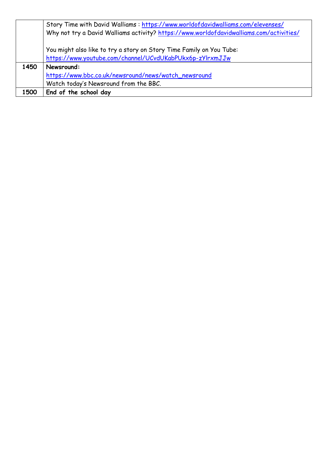|      | Story Time with David Walliams: https://www.worldofdavidwalliams.com/elevenses/         |
|------|-----------------------------------------------------------------------------------------|
|      | Why not try a David Walliams activity? https://www.worldofdavidwalliams.com/activities/ |
|      |                                                                                         |
|      | You might also like to try a story on Story Time Family on You Tube:                    |
|      | https://www.youtube.com/channel/UCvdUKabPUkx6p-zYlrxmJJw                                |
| 1450 | Newsround:                                                                              |
|      | https://www.bbc.co.uk/newsround/news/watch_newsround                                    |
|      | Watch today's Newsround from the BBC.                                                   |
| 1500 | End of the school day                                                                   |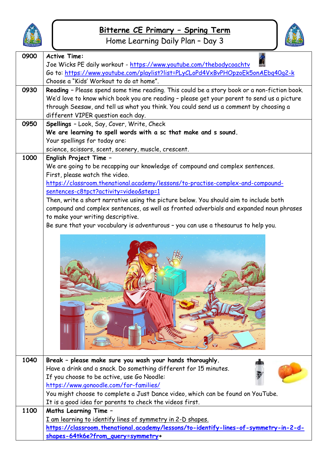

Home Learning Daily Plan – Day 3



| 0900 | <b>Active Time:</b>                                                                                                       |
|------|---------------------------------------------------------------------------------------------------------------------------|
|      | Joe Wicks PE daily workout - https://www.youtube.com/thebodycoachtv                                                       |
|      | Go to: https://www.youtube.com/playlist?list=PLyCLoPd4VxBvPHOpzoEk5onAEbq40q2-k                                           |
|      | Choose a "Kids' Workout to do at home".                                                                                   |
| 0930 | Reading - Please spend some time reading. This could be a story book or a non-fiction book.                               |
|      | We'd love to know which book you are reading - please get your parent to send us a picture                                |
|      | through Seesaw, and tell us what you think. You could send us a comment by choosing a                                     |
|      | different VIPER question each day.                                                                                        |
| 0950 | Spellings - Look, Say, Cover, Write, Check                                                                                |
|      | We are learning to spell words with a sc that make and s sound.                                                           |
|      | Your spellings for today are:                                                                                             |
| 1000 | science, scissors, scent, scenery, muscle, crescent.                                                                      |
|      | English Project Time -                                                                                                    |
|      | We are going to be recapping our knowledge of compound and complex sentences.<br>First, please watch the video.           |
|      | https://classroom.thenational.academy/lessons/to-practise-complex-and-compound-                                           |
|      | sentences-c8tpct?activity=video&step=1                                                                                    |
|      | Then, write a short narrative using the picture below. You should aim to include both                                     |
|      | compound and complex sentences, as well as fronted adverbials and expanded noun phrases                                   |
|      | to make your writing descriptive.                                                                                         |
|      | Be sure that your vocabulary is adventurous - you can use a thesaurus to help you.                                        |
|      |                                                                                                                           |
|      |                                                                                                                           |
| 1040 | Break - please make sure you wash your hands thoroughly.                                                                  |
|      | Have a drink and a snack. Do something different for 15 minutes.                                                          |
|      | If you choose to be active, use Go Noodle:                                                                                |
|      | https://www.gonoodle.com/for-families/<br>You might choose to complete a Just Dance video, which can be found on YouTube. |
|      | It is a good idea for parents to check the videos first.                                                                  |
| 1100 | <b>Maths Learning Time -</b>                                                                                              |
|      | I am learning to identify lines of symmetry in 2-D shapes.                                                                |
|      | https://classroom.thenational.academy/lessons/to-identify-lines-of-symmetry-in-2-d-                                       |
|      | shapes-64tk6e?from_query=symmetry+                                                                                        |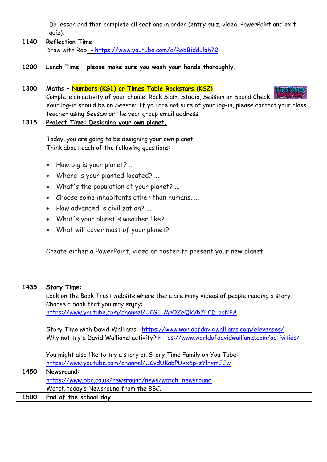|      | Do lesson and then complete all sections in order (entry quiz, video, PowerPoint and exit<br>$q$ uiz). |
|------|--------------------------------------------------------------------------------------------------------|
| 1140 | <b>Reflection Time</b><br>Draw with Rob_- https://www.youtube.com/c/RobBiddulph72                      |
| 1200 | Lunch Time - please make sure you wash your hands thoroughly.                                          |

| 1300 | Maths - Numbots (KS1) or Times Table Rockstars (KS2)                                                                                                                       |
|------|----------------------------------------------------------------------------------------------------------------------------------------------------------------------------|
|      | Complete an activity of your choice: Rock Slam, Studio, Session or Sound Check.                                                                                            |
|      | Your log-in should be on Seesaw. If you are not sure of your log-in, please contact your class                                                                             |
|      | teacher using Seesaw or the year group email address.                                                                                                                      |
| 1315 | Project Time: Designing your own planet.                                                                                                                                   |
|      |                                                                                                                                                                            |
|      | Today, you are going to be designing your own planet.                                                                                                                      |
|      | Think about each of the following questions:                                                                                                                               |
|      | How big is your planet?<br>$\bullet$                                                                                                                                       |
|      | Where is your planted located?<br>$\bullet$                                                                                                                                |
|      | What's the population of your planet?<br>$\bullet$                                                                                                                         |
|      | Choose some inhabitants other than humans<br>$\bullet$                                                                                                                     |
|      | How advanced is civilization?<br>$\bullet$                                                                                                                                 |
|      | What's your planet's weather like?<br>$\bullet$                                                                                                                            |
|      | What will cover most of your planet?<br>$\bullet$                                                                                                                          |
|      |                                                                                                                                                                            |
|      | Create either a PowerPoint, video or poster to present your new planet.                                                                                                    |
|      |                                                                                                                                                                            |
|      |                                                                                                                                                                            |
|      |                                                                                                                                                                            |
| 1435 | <b>Story Time:</b>                                                                                                                                                         |
|      | Look on the Book Trust website where there are many videos of people reading a story.                                                                                      |
|      | Choose a book that you may enjoy:                                                                                                                                          |
|      | https://www.youtube.com/channel/UCGj_MrOZeQkVb7FCD-ogNPA                                                                                                                   |
|      |                                                                                                                                                                            |
|      | Story Time with David Walliams: https://www.worldofdavidwalliams.com/elevenses/<br>Why not try a David Walliams activity? https://www.worldofdavidwalliams.com/activities/ |
|      |                                                                                                                                                                            |
|      | You might also like to try a story on Story Time Family on You Tube:                                                                                                       |
|      | https://www.youtube.com/channel/UCvdUKabPUkx6p-zYlrxmJJw                                                                                                                   |
| 1450 | Newsround:                                                                                                                                                                 |
|      | https://www.bbc.co.uk/newsround/news/watch_newsround                                                                                                                       |
|      | Watch today's Newsround from the BBC.                                                                                                                                      |
| 1500 | End of the school day                                                                                                                                                      |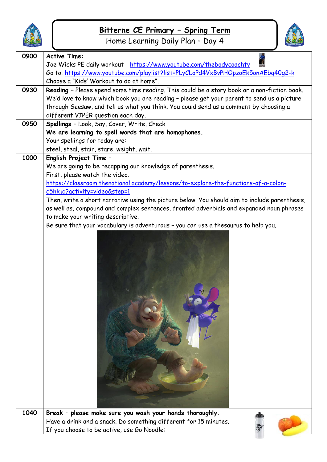

Home Learning Daily Plan – Day 4



w

| 0900 | <b>Active Time:</b>                                                                                                                                                        |
|------|----------------------------------------------------------------------------------------------------------------------------------------------------------------------------|
|      | Joe Wicks PE daily workout - https://www.youtube.com/thebodycoachtv                                                                                                        |
|      | Go to: https://www.youtube.com/playlist?list=PLyCLoPd4VxBvPHOpzoEk5onAEbq40q2-k                                                                                            |
|      | Choose a "Kids' Workout to do at home".                                                                                                                                    |
| 0930 | Reading - Please spend some time reading. This could be a story book or a non-fiction book.                                                                                |
|      | We'd love to know which book you are reading - please get your parent to send us a picture                                                                                 |
|      | through Seesaw, and tell us what you think. You could send us a comment by choosing a<br>different VIPER question each day.                                                |
| 0950 | Spellings - Look, Say, Cover, Write, Check                                                                                                                                 |
|      | We are learning to spell words that are homophones.                                                                                                                        |
|      | Your spellings for today are:                                                                                                                                              |
|      | steel, steal, stair, stare, weight, wait.                                                                                                                                  |
| 1000 | English Project Time -                                                                                                                                                     |
|      | We are going to be recapping our knowledge of parenthesis.                                                                                                                 |
|      | First, please watch the video.                                                                                                                                             |
|      | https://classroom.thenational.academy/lessons/to-explore-the-functions-of-a-colon-                                                                                         |
|      | c5hkjd?activity=video&step=1                                                                                                                                               |
|      | Then, write a short narrative using the picture below. You should aim to include parenthesis,                                                                              |
|      | as well as, compound and complex sentences, fronted adverbials and expanded noun phrases                                                                                   |
|      | to make your writing descriptive.                                                                                                                                          |
|      | Be sure that your vocabulary is adventurous - you can use a thesaurus to help you.                                                                                         |
|      |                                                                                                                                                                            |
| 1040 | Break - please make sure you wash your hands thoroughly.<br>Have a drink and a snack. Do something different for 15 minutes.<br>If you choose to be active, use Go Noodle: |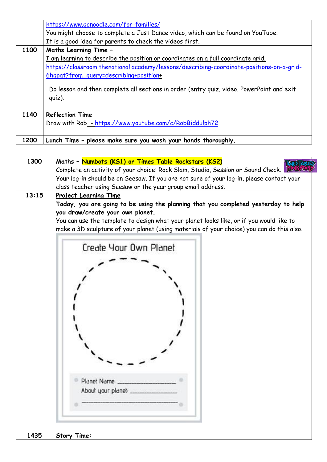|      | https://www.gonoodle.com/for-families/                                                                 |
|------|--------------------------------------------------------------------------------------------------------|
|      | You might choose to complete a Just Dance video, which can be found on YouTube.                        |
|      | It is a good idea for parents to check the videos first.                                               |
| 1100 | <b>Maths Learning Time -</b>                                                                           |
|      | I am learning to describe the position or coordinates on a full coordinate grid.                       |
|      | https://classroom.thenational.academy/lessons/describing-coordinate-positions-on-a-grid-               |
|      | 6hqpat?from_query=describing+position+                                                                 |
|      | Do lesson and then complete all sections in order (entry quiz, video, PowerPoint and exit<br>$q$ uiz). |
| 1140 | <b>Reflection Time</b>                                                                                 |
|      | Draw with Rob - https://www.youtube.com/c/RobBiddulph72                                                |
|      |                                                                                                        |
| 1200 | Lunch Time - please make sure you wash your hands thoroughly.                                          |

| 1300  | Maths - Numbots (KS1) or Times Table Rockstars (KS2)                                                                                                                                 |
|-------|--------------------------------------------------------------------------------------------------------------------------------------------------------------------------------------|
|       | Complete an activity of your choice: Rock Slam, Studio, Session or Sound Check.                                                                                                      |
|       | Your log-in should be on Seesaw. If you are not sure of your log-in, please contact your                                                                                             |
|       | class teacher using Seesaw or the year group email address.                                                                                                                          |
| 13:15 | <b>Project Learning Time</b>                                                                                                                                                         |
|       | Today, you are going to be using the planning that you completed yesterday to help<br>you draw/create your own planet.                                                               |
|       | You can use the template to design what your planet looks like, or if you would like to<br>make a 3D sculpture of your planet (using materials of your choice) you can do this also. |
|       | Create Your Own Planet                                                                                                                                                               |
|       |                                                                                                                                                                                      |
|       |                                                                                                                                                                                      |
|       |                                                                                                                                                                                      |
|       |                                                                                                                                                                                      |
|       |                                                                                                                                                                                      |
|       |                                                                                                                                                                                      |
|       | Planet Name:                                                                                                                                                                         |
|       | About your planet: _______                                                                                                                                                           |
|       |                                                                                                                                                                                      |
| 1435  | <b>Story Time:</b>                                                                                                                                                                   |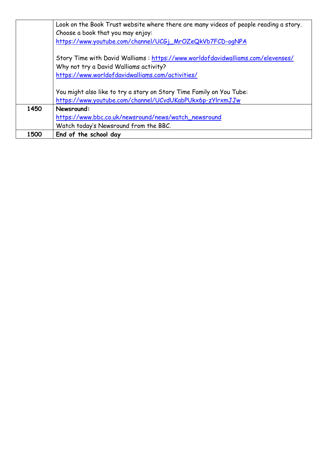|      | Look on the Book Trust website where there are many videos of people reading a story. |
|------|---------------------------------------------------------------------------------------|
|      | Choose a book that you may enjoy:                                                     |
|      | https://www.youtube.com/channel/UCGj_MrOZeQkVb7FCD-ogNPA                              |
|      |                                                                                       |
|      | Story Time with David Walliams: https://www.worldofdavidwalliams.com/elevenses/       |
|      | Why not try a David Walliams activity?                                                |
|      | https://www.worldofdavidwalliams.com/activities/                                      |
|      |                                                                                       |
|      | You might also like to try a story on Story Time Family on You Tube:                  |
|      | https://www.youtube.com/channel/UCvdUKabPUkx6p-zYlrxmJJw                              |
| 1450 | Newsround:                                                                            |
|      | https://www.bbc.co.uk/newsround/news/watch_newsround                                  |
|      | Watch today's Newsround from the BBC.                                                 |
| 1500 | End of the school day                                                                 |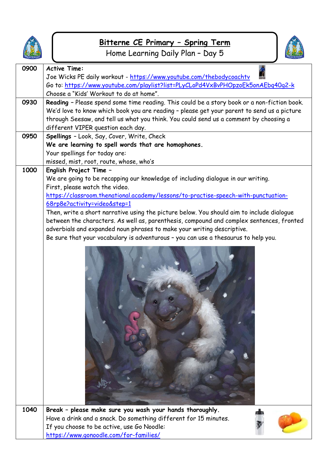

# **Bitterne CE Primary – Spring Term** Home Learning Daily Plan – Day 5



| 0900 | <b>Active Time:</b>                                                                                                |
|------|--------------------------------------------------------------------------------------------------------------------|
|      | Joe Wicks PE daily workout - https://www.youtube.com/thebodycoachtv                                                |
|      | Go to: https://www.youtube.com/playlist?list=PLyCLoPd4VxBvPHOpzoEk5onAEbq40q2-k                                    |
|      | Choose a "Kids' Workout to do at home".                                                                            |
| 0930 | Reading - Please spend some time reading. This could be a story book or a non-fiction book.                        |
|      | We'd love to know which book you are reading - please get your parent to send us a picture                         |
|      | through Seesaw, and tell us what you think. You could send us a comment by choosing a                              |
|      | different VIPER question each day.                                                                                 |
| 0950 | Spellings - Look, Say, Cover, Write, Check                                                                         |
|      | We are learning to spell words that are homophones.                                                                |
|      | Your spellings for today are:                                                                                      |
| 1000 | missed, mist, root, route, whose, who's                                                                            |
|      | English Project Time -                                                                                             |
|      | We are going to be recapping our knowledge of including dialogue in our writing.<br>First, please watch the video. |
|      | https://classroom.thenational.academy/lessons/to-practise-speech-with-punctuation-                                 |
|      | 68rp8e?activity=video&step=1                                                                                       |
|      | Then, write a short narrative using the picture below. You should aim to include dialogue                          |
|      | between the characters. As well as, parenthesis, compound and complex sentences, fronted                           |
|      | adverbials and expanded noun phrases to make your writing descriptive.                                             |
|      | Be sure that your vocabulary is adventurous - you can use a thesaurus to help you.                                 |
|      |                                                                                                                    |
| 1040 | Break - please make sure you wash your hands thoroughly.                                                           |
|      | Have a drink and a snack. Do something different for 15 minutes.                                                   |
|      | If you choose to be active, use Go Noodle:                                                                         |
|      | https://www.gonoodle.com/for-families/                                                                             |